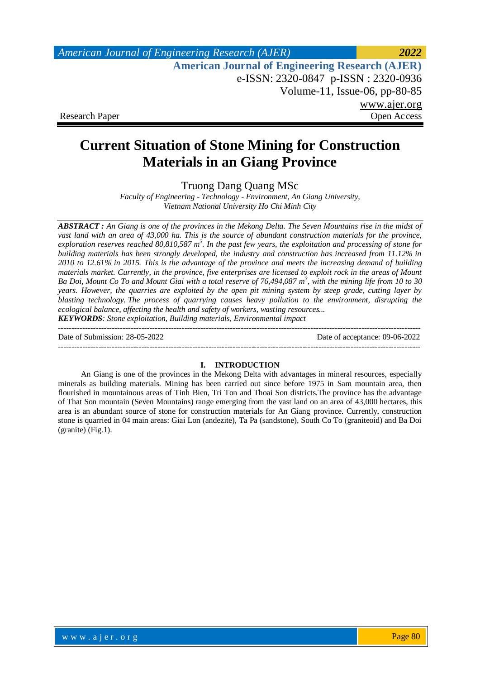*American Journal of Engineering Research (AJER) 2022*  **American Journal of Engineering Research (AJER)** e-ISSN: 2320-0847 p-ISSN : 2320-0936 Volume-11, Issue-06, pp-80-85 www.ajer.org Research Paper Open Access

# **Current Situation of Stone Mining for Construction Materials in an Giang Province**

Truong Dang Quang MSc

*Faculty of Engineering - Technology - Environment, An Giang University, Vietnam National University Ho Chi Minh City*

*ABSTRACT : An Giang is one of the provinces in the Mekong Delta. The Seven Mountains rise in the midst of vast land with an area of 43,000 ha. This is the source of abundant construction materials for the province, exploration reserves reached 80,810,587 m<sup>3</sup> . In the past few years, the exploitation and processing of stone for building materials has been strongly developed, the industry and construction has increased from 11.12% in 2010 to 12.61% in 2015. This is the advantage of the province and meets the increasing demand of building materials market. Currently, in the province, five enterprises are licensed to exploit rock in the areas of Mount Ba Doi, Mount Co To and Mount Giai with a total reserve of 76,494,087 m<sup>3</sup> , with the mining life from 10 to 30 years. However, the quarries are exploited by the open pit mining system by steep grade, cutting layer by blasting technology. The process of quarrying causes heavy pollution to the environment, disrupting the ecological balance, affecting the health and safety of workers, wasting resources... KEYWORDS: Stone exploitation, Building materials, Environmental impact*

--------------------------------------------------------------------------------------------------------------------------------------- Date of Submission: 28-05-2022 Date of acceptance: 09-06-2022 ---------------------------------------------------------------------------------------------------------------------------------------

### **I. INTRODUCTION**

An Giang is one of the provinces in the Mekong Delta with advantages in mineral resources, especially minerals as building materials. Mining has been carried out since before 1975 in Sam mountain area, then flourished in mountainous areas of Tinh Bien, Tri Ton and Thoai Son districts.The province has the advantage of That Son mountain (Seven Mountains) range emerging from the vast land on an area of 43,000 hectares, this area is an abundant source of stone for construction materials for An Giang province. Currently, construction stone is quarried in 04 main areas: Giai Lon (andezite), Ta Pa (sandstone), South Co To (graniteoid) and Ba Doi (granite) (Fig.1).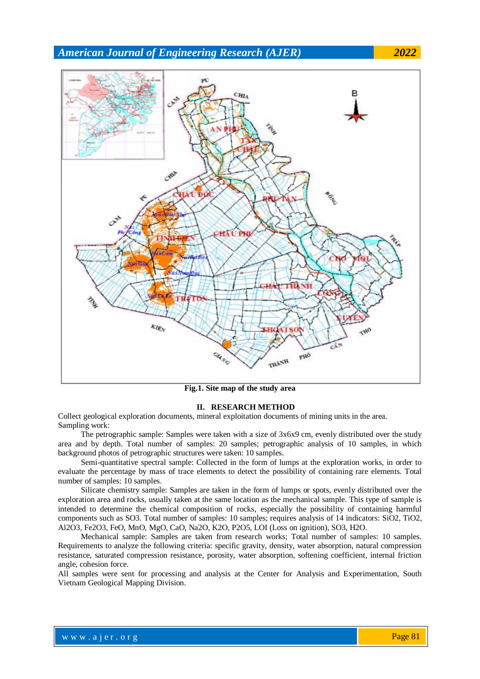*American Journal of Engineering Research (AJER) 2022*



**Fig.1. Site map of the study area**

#### **II. RESEARCH METHOD**

Collect geological exploration documents, mineral exploitation documents of mining units in the area. Sampling work:

The petrographic sample: Samples were taken with a size of 3x6x9 cm, evenly distributed over the study area and by depth. Total number of samples: 20 samples; petrographic analysis of 10 samples, in which background photos of petrographic structures were taken: 10 samples.

Semi-quantitative spectral sample: Collected in the form of lumps at the exploration works, in order to evaluate the percentage by mass of trace elements to detect the possibility of containing rare elements. Total number of samples: 10 samples.

Silicate chemistry sample: Samples are taken in the form of lumps or spots, evenly distributed over the exploration area and rocks, usually taken at the same location as the mechanical sample. This type of sample is intended to determine the chemical composition of rocks, especially the possibility of containing harmful components such as SO3. Total number of samples: 10 samples; requires analysis of 14 indicators: SiO2, TiO2, Al2O3, Fe2O3, FeO, MnO, MgO, CaO, Na2O, K2O, P2O5, LOI (Loss on ignition), SO3, H2O.

Mechanical sample: Samples are taken from research works; Total number of samples: 10 samples. Requirements to analyze the following criteria: specific gravity, density, water absorption, natural compression resistance, saturated compression resistance, porosity, water absorption, softening coefficient, internal friction angle, cohesion force.

All samples were sent for processing and analysis at the Center for Analysis and Experimentation, South Vietnam Geological Mapping Division.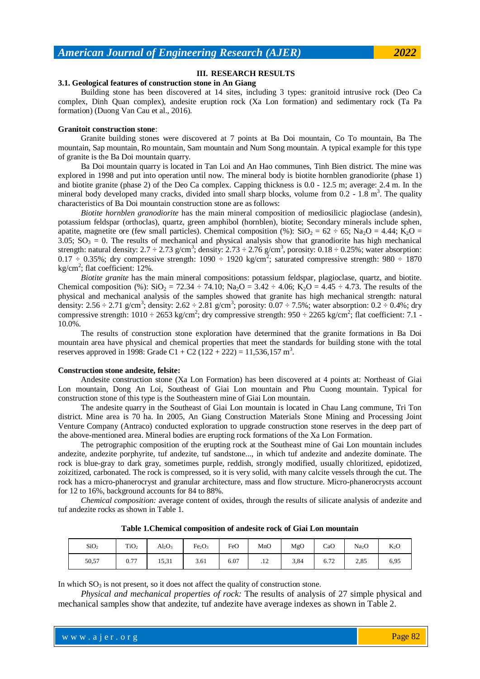#### **III. RESEARCH RESULTS**

# **3.1. Geological features of construction stone in An Giang**

Building stone has been discovered at 14 sites, including 3 types: granitoid intrusive rock (Deo Ca complex, Dinh Quan complex), andesite eruption rock (Xa Lon formation) and sedimentary rock (Ta Pa formation) (Duong Van Cau et al., 2016).

#### **Granitoit construction stone**:

Granite building stones were discovered at 7 points at Ba Doi mountain, Co To mountain, Ba The mountain, Sap mountain, Ro mountain, Sam mountain and Num Song mountain. A typical example for this type of granite is the Ba Doi mountain quarry.

Ba Doi mountain quarry is located in Tan Loi and An Hao communes, Tinh Bien district. The mine was explored in 1998 and put into operation until now. The mineral body is biotite hornblen granodiorite (phase 1) and biotite granite (phase 2) of the Deo Ca complex. Capping thickness is 0.0 - 12.5 m; average: 2.4 m. In the mineral body developed many cracks, divided into small sharp blocks, volume from  $0.2 - 1.8$  m<sup>3</sup>. The quality characteristics of Ba Doi mountain construction stone are as follows:

*Biotite hornblen granodiorite* has the main mineral composition of mediosilicic plagioclase (andesin), potassium feldspar (orthoclas), quartz, green amphibol (hornblen), biotite; Secondary minerals include sphen, apatite, magnetite ore (few small particles). Chemical composition (%):  $SiO_2 = 62 \div 65$ ; Na<sub>2</sub>O = 4.44; K<sub>2</sub>O = 3.05;  $SO_3 = 0$ . The results of mechanical and physical analysis show that granodiorite has high mechanical strength: natural density:  $2.7 \div 2.73$  g/cm<sup>3</sup>; density:  $2.73 \div 2.76$  g/cm<sup>3</sup>, porosity:  $0.18 \div 0.25$ %; water absorption:  $0.17 - 0.35\%$ ; dry compressive strength: 1090  $\div$  1920 kg/cm<sup>2</sup>; saturated compressive strength: 980  $\div$  1870 kg/cm<sup>2</sup>; flat coefficient:  $12\%$ .

*Biotite granite* has the main mineral compositions: potassium feldspar, plagioclase, quartz, and biotite. Chemical composition (%):  $SiO_2 = 72.34 \div 74.10$ ;  $Na_2O = 3.42 \div 4.06$ ;  $K_2O = 4.45 \div 4.73$ . The results of the physical and mechanical analysis of the samples showed that granite has high mechanical strength: natural density: 2.56  $\div$  2.71 g/cm<sup>3</sup>; density: 2.62  $\div$  2.81 g/cm<sup>3</sup>; porosity: 0.07  $\div$  7.5%; water absorption: 0.2  $\div$  0.4%; dry compressive strength:  $1010 \div 2653$  kg/cm<sup>2</sup>; dry compressive strength:  $950 \div 2265$  kg/cm<sup>2</sup>; flat coefficient: 7.1 -10.0%.

The results of construction stone exploration have determined that the granite formations in Ba Doi mountain area have physical and chemical properties that meet the standards for building stone with the total reserves approved in 1998: Grade C1 + C2 (122 + 222) = 11,536,157 m<sup>3</sup>.

#### **Construction stone andesite, felsite:**

Andesite construction stone (Xa Lon Formation) has been discovered at 4 points at: Northeast of Giai Lon mountain, Dong An Loi, Southeast of Giai Lon mountain and Phu Cuong mountain. Typical for construction stone of this type is the Southeastern mine of Giai Lon mountain.

The andesite quarry in the Southeast of Giai Lon mountain is located in Chau Lang commune, Tri Ton district. Mine area is 70 ha. In 2005, An Giang Construction Materials Stone Mining and Processing Joint Venture Company (Antraco) conducted exploration to upgrade construction stone reserves in the deep part of the above-mentioned area. Mineral bodies are erupting rock formations of the Xa Lon Formation.

The petrographic composition of the erupting rock at the Southeast mine of Gai Lon mountain includes andezite, andezite porphyrite, tuf andezite, tuf sandstone..., in which tuf andezite and andezite dominate. The rock is blue-gray to dark gray, sometimes purple, reddish, strongly modified, usually chloritized, epidotized, zoizitized, carbonated. The rock is compressed, so it is very solid, with many calcite vessels through the cut. The rock has a micro-phanerocryst and granular architecture, mass and flow structure. Micro-phanerocrysts account for 12 to 16%, background accounts for 84 to 88%.

*Chemical composition:* average content of oxides, through the results of silicate analysis of andezite and tuf andezite rocks as shown in Table 1.

| SiO <sub>2</sub> | TiO <sub>2</sub> | $Al_2O_3$ | Fe <sub>2</sub> O <sub>3</sub> | FeO  | MnO | MgO  | CaO  | Na <sub>2</sub> O | K <sub>2</sub> O |
|------------------|------------------|-----------|--------------------------------|------|-----|------|------|-------------------|------------------|
| 50,57            | 0.77             | 15,31     | 3.61                           | 6.07 | .12 | 3,84 | 6.72 | 2,85              | 6,95             |

**Table 1.Chemical composition of andesite rock of Giai Lon mountain**

In which  $SO_3$  is not present, so it does not affect the quality of construction stone.

*Physical and mechanical properties of rock:* The results of analysis of 27 simple physical and mechanical samples show that andezite, tuf andezite have average indexes as shown in Table 2.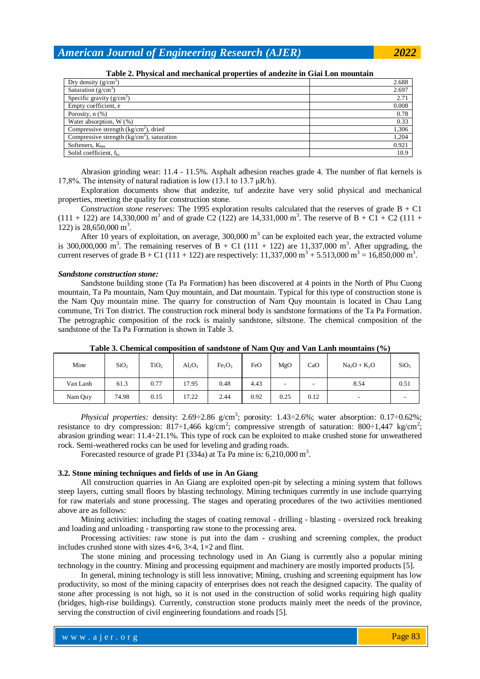*American Journal of Engineering Research (AJER) 2022*

Dry density  $(g/cm<sup>3</sup>)$ ) and  $2.688$ Saturation  $(g/cm<sup>3</sup>)$ ) and  $2.697$ Specific gravity  $(g/cm<sup>3</sup>)$ ) and  $2.71$ Empty coefficient, e 0.008 Porosity,  $n$  (%) 0.78 Water absorption,  $W(\%)$  0.33 Compressive strength  $(kg/cm<sup>2</sup>)$ , dried ), dried  $1,306$ Compressive strength (kg/cm<sup>2</sup>), saturation 1,204 Softeners, K<sub>hm</sub> 0.921 Solid coefficient,  $f_{kc}$  10.9

**Table 2. Physical and mechanical properties of andezite in Giai Lon mountain**

Abrasion grinding wear: 11.4 - 11.5%. Asphalt adhesion reaches grade 4. The number of flat kernels is 17,8%. The intensity of natural radiation is low (13.1 to 13.7  $\mu$ R/h).

Exploration documents show that andezite, tuf andezite have very solid physical and mechanical properties, meeting the quality for construction stone.

*Construction stone reserves:* The 1995 exploration results calculated that the reserves of grade B + C1  $(111 + 122)$  are 14,330,000 m<sup>3</sup> and of grade C2 (122) are 14,331,000 m<sup>3</sup>. The reserve of B + C1 + C2 (111 + 122) is 28,650,000 m<sup>3</sup>.

After 10 years of exploitation, on average,  $300,000 \text{ m}^3$  can be exploited each year, the extracted volume is 300,000,000 m<sup>3</sup>. The remaining reserves of B + C1 (111 + 122) are 11,337,000 m<sup>3</sup>. After upgrading, the current reserves of grade B + C1 (111 + 122) are respectively: 11,337,000 m<sup>3</sup> + 5.513,000 m<sup>3</sup> = 16,850,000 m<sup>3</sup>.

#### *Sandstone construction stone:*

Sandstone building stone (Ta Pa Formation) has been discovered at 4 points in the North of Phu Cuong mountain, Ta Pa mountain, Nam Quy mountain, and Dat mountain. Typical for this type of construction stone is the Nam Quy mountain mine. The quarry for construction of Nam Quy mountain is located in Chau Lang commune, Tri Ton district. The construction rock mineral body is sandstone formations of the Ta Pa Formation. The petrographic composition of the rock is mainly sandstone, siltstone. The chemical composition of the sandstone of the Ta Pa Formation is shown in Table 3.

|          |                  |                  |           |                                |      | <u>- v</u>               |      |              |                  |
|----------|------------------|------------------|-----------|--------------------------------|------|--------------------------|------|--------------|------------------|
| Mine     | SiO <sub>2</sub> | TiO <sub>2</sub> | $Al_2O_3$ | Fe <sub>2</sub> O <sub>3</sub> | FeO  | MgO                      | CaO  | $Na2O + K2O$ | SiO <sub>3</sub> |
| Van Lanh | 61.3             | 0.77             | 17.95     | 0.48                           | 4.43 | $\overline{\phantom{a}}$ | -    | 8.54         | 0.51             |
| Nam Quy  | 74.98            | 0.15             | 17.22     | 2.44                           | 0.92 | 0.25                     | 0.12 | -            |                  |

**Table 3. Chemical composition of sandstone of Nam Quy and Van Lanh mountains (%)**

*Physical properties:* density: 2.69÷2.86 g/cm<sup>3</sup>; porosity: 1.43÷2.6%; water absorption: 0.17÷0.62%; resistance to dry compression: 817–1,466 kg/cm<sup>2</sup>; compressive strength of saturation: 800–1,447 kg/cm<sup>2</sup>; abrasion grinding wear: 11.4÷21.1%. This type of rock can be exploited to make crushed stone for unweathered rock. Semi-weathered rocks can be used for leveling and grading roads.

Forecasted resource of grade P1 (334a) at Ta Pa mine is:  $6,210,000$  m<sup>3</sup>.

# **3.2. Stone mining techniques and fields of use in An Giang**

All construction quarries in An Giang are exploited open-pit by selecting a mining system that follows steep layers, cutting small floors by blasting technology. Mining techniques currently in use include quarrying for raw materials and stone processing. The stages and operating procedures of the two activities mentioned above are as follows:

Mining activities: including the stages of coating removal - drilling - blasting - oversized rock breaking and loading and unloading - transporting raw stone to the processing area.

Processing activities: raw stone is put into the dam - crushing and screening complex, the product includes crushed stone with sizes  $4\times6$ ,  $3\times4$ ,  $1\times2$  and flint.

The stone mining and processing technology used in An Giang is currently also a popular mining technology in the country. Mining and processing equipment and machinery are mostly imported products [5].

In general, mining technology is still less innovative; Mining, crushing and screening equipment has low productivity, so most of the mining capacity of enterprises does not reach the designed capacity. The quality of stone after processing is not high, so it is not used in the construction of solid works requiring high quality (bridges, high-rise buildings). Currently, construction stone products mainly meet the needs of the province, serving the construction of civil engineering foundations and roads [5].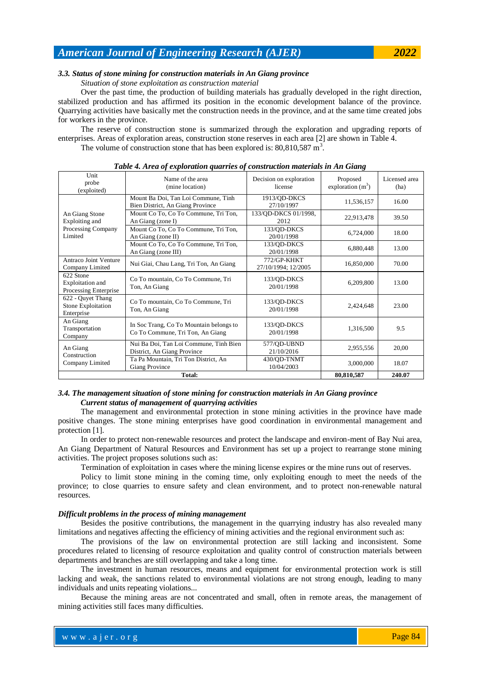# *American Journal of Engineering Research (AJER) 2022*

# *3.3. Status of stone mining for construction materials in An Giang province*

*Situation of stone exploitation as construction material*

Over the past time, the production of building materials has gradually developed in the right direction, stabilized production and has affirmed its position in the economic development balance of the province. Quarrying activities have basically met the construction needs in the province, and at the same time created jobs for workers in the province.

The reserve of construction stone is summarized through the exploration and upgrading reports of enterprises. Areas of exploration areas, construction stone reserves in each area [2] are shown in Table 4. The volume of construction stone that has been explored is:  $80,810,587 \text{ m}^3$ .

| Tubic +. Area of exploration quarries of construction materials in An Giang |                                                                             |                                    |                                 |                       |  |  |  |  |
|-----------------------------------------------------------------------------|-----------------------------------------------------------------------------|------------------------------------|---------------------------------|-----------------------|--|--|--|--|
| Unit<br>probe<br>(exploited)                                                | Name of the area<br>(mine location)                                         | Decision on exploration<br>license | Proposed<br>exploration $(m^3)$ | Licensed area<br>(ha) |  |  |  |  |
| An Giang Stone<br>Exploiting and<br>Processing Company<br>Limited           | Mount Ba Doi, Tan Loi Commune, Tinh<br>Bien District, An Giang Province     | 1913/QD-DKCS<br>27/10/1997         | 11,536,157                      | 16.00                 |  |  |  |  |
|                                                                             | Mount Co To, Co To Commune, Tri Ton,<br>An Giang (zone I)                   | 133/QD-DKCS 01/1998,<br>2012       | 22,913,478                      | 39.50                 |  |  |  |  |
|                                                                             | Mount Co To, Co To Commune, Tri Ton,<br>An Giang (zone II)                  | 133/QD-DKCS<br>20/01/1998          | 6,724,000                       | 18.00                 |  |  |  |  |
|                                                                             | Mount Co To, Co To Commune, Tri Ton,<br>An Giang (zone III)                 | 133/QD-DKCS<br>20/01/1998          | 6,880,448                       | 13.00                 |  |  |  |  |
| Antraco Joint Venture<br>Company Limited                                    | Nui Giai, Chau Lang, Tri Ton, An Giang                                      | 772/GP-KHKT<br>27/10/1994; 12/2005 | 16,850,000                      | 70.00                 |  |  |  |  |
| 622 Stone<br>Exploitation and<br>Processing Enterprise                      | Co To mountain, Co To Commune, Tri<br>Ton, An Giang                         | 133/QD-DKCS<br>20/01/1998          | 6,209,800                       | 13.00                 |  |  |  |  |
| 622 - Quyet Thang<br>Stone Exploitation<br>Enterprise                       | Co To mountain, Co To Commune, Tri<br>Ton, An Giang                         | 133/QD-DKCS<br>20/01/1998          | 2,424,648                       | 23.00                 |  |  |  |  |
| An Giang<br>Transportation<br>Company                                       | In Soc Trang, Co To Mountain belongs to<br>Co To Commune, Tri Ton, An Giang | 133/QD-DKCS<br>20/01/1998          | 1,316,500                       | 9.5                   |  |  |  |  |
| An Giang<br>Construction<br>Company Limited                                 | Nui Ba Doi, Tan Loi Commune, Tinh Bien<br>District, An Giang Province       | 577/OD-UBND<br>21/10/2016          | 2,955,556                       | 20,00                 |  |  |  |  |
|                                                                             | Ta Pa Mountain, Tri Ton District, An<br>Giang Province                      | 430/QD-TNMT<br>10/04/2003          | 3,000,000                       | 18.07                 |  |  |  |  |
|                                                                             | 80,810,587                                                                  | 240.07                             |                                 |                       |  |  |  |  |

*Table 4. Area of exploration quarries of construction materials in An Giang*

# *3.4. The management situation of stone mining for construction materials in An Giang province Current status of management of quarrying activities*

The management and environmental protection in stone mining activities in the province have made positive changes. The stone mining enterprises have good coordination in environmental management and protection [1].

In order to protect non-renewable resources and protect the landscape and environ-ment of Bay Nui area, An Giang Department of Natural Resources and Environment has set up a project to rearrange stone mining activities. The project proposes solutions such as:

Termination of exploitation in cases where the mining license expires or the mine runs out of reserves.

Policy to limit stone mining in the coming time, only exploiting enough to meet the needs of the province; to close quarries to ensure safety and clean environment, and to protect non-renewable natural resources.

#### *Difficult problems in the process of mining management*

Besides the positive contributions, the management in the quarrying industry has also revealed many limitations and negatives affecting the efficiency of mining activities and the regional environment such as:

The provisions of the law on environmental protection are still lacking and inconsistent. Some procedures related to licensing of resource exploitation and quality control of construction materials between departments and branches are still overlapping and take a long time.

The investment in human resources, means and equipment for environmental protection work is still lacking and weak, the sanctions related to environmental violations are not strong enough, leading to many individuals and units repeating violations...

Because the mining areas are not concentrated and small, often in remote areas, the management of mining activities still faces many difficulties.